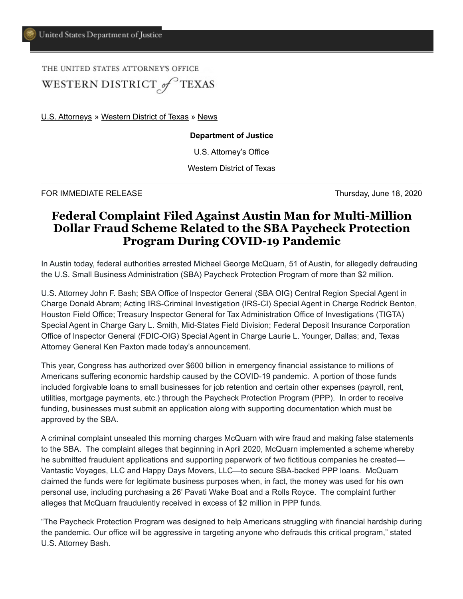THE UNITED STATES ATTORNEY'S OFFICE WESTERN DISTRICT of TEXAS

[U.S. Attorneys](https://www.justice.gov/usao) » [Western District of Texas](https://www.justice.gov/usao-wdtx) » [News](https://www.justice.gov/usao-wdtx/pr)

**Department of Justice**

U.S. Attorney's Office

Western District of Texas

FOR IMMEDIATE RELEASE Thursday, June 18, 2020

## **Federal Complaint Filed Against Austin Man for Multi-Million Dollar Fraud Scheme Related to the SBA Paycheck Protection Program During COVID-19 Pandemic**

In Austin today, federal authorities arrested Michael George McQuarn, 51 of Austin, for allegedly defrauding the U.S. Small Business Administration (SBA) Paycheck Protection Program of more than \$2 million.

U.S. Attorney John F. Bash; SBA Office of Inspector General (SBA OIG) Central Region Special Agent in Charge Donald Abram; Acting IRS-Criminal Investigation (IRS-CI) Special Agent in Charge Rodrick Benton, Houston Field Office; Treasury Inspector General for Tax Administration Office of Investigations (TIGTA) Special Agent in Charge Gary L. Smith, Mid-States Field Division; Federal Deposit Insurance Corporation Office of Inspector General (FDIC-OIG) Special Agent in Charge Laurie L. Younger, Dallas; and, Texas Attorney General Ken Paxton made today's announcement.

This year, Congress has authorized over \$600 billion in emergency financial assistance to millions of Americans suffering economic hardship caused by the COVID-19 pandemic. A portion of those funds included forgivable loans to small businesses for job retention and certain other expenses (payroll, rent, utilities, mortgage payments, etc.) through the Paycheck Protection Program (PPP). In order to receive funding, businesses must submit an application along with supporting documentation which must be approved by the SBA.

A criminal complaint unsealed this morning charges McQuarn with wire fraud and making false statements to the SBA. The complaint alleges that beginning in April 2020, McQuarn implemented a scheme whereby he submitted fraudulent applications and supporting paperwork of two fictitious companies he created— Vantastic Voyages, LLC and Happy Days Movers, LLC—to secure SBA-backed PPP loans. McQuarn claimed the funds were for legitimate business purposes when, in fact, the money was used for his own personal use, including purchasing a 26' Pavati Wake Boat and a Rolls Royce. The complaint further alleges that McQuarn fraudulently received in excess of \$2 million in PPP funds.

"The Paycheck Protection Program was designed to help Americans struggling with financial hardship during the pandemic. Our office will be aggressive in targeting anyone who defrauds this critical program," stated U.S. Attorney Bash.